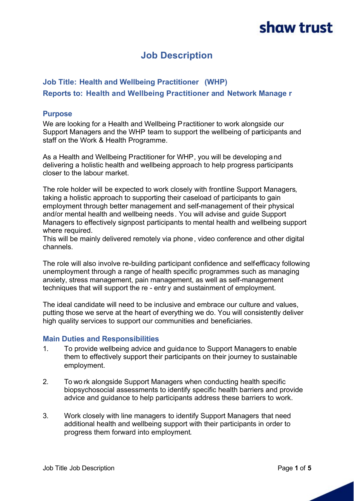### **Job Description**

### **Job Title: Health and Wellbeing Practitioner (WHP) Reports to: Health and Wellbeing Practitioner and Network Manage r**

#### **Purpose**

We are looking for a Health and Wellbeing Practitioner to work alongside our Support Managers and the WHP team to support the wellbeing of participants and staff on the Work & Health Programme.

As a Health and Wellbeing Practitioner for WHP, you will be developing and delivering a holistic health and wellbeing approach to help progress participants closer to the labour market.

The role holder will be expected to work closely with frontline Support Managers, taking a holistic approach to supporting their caseload of participants to gain employment through better management and self-management of their physical and/or mental health and wellbeing needs. You will advise and guide Support Managers to effectively signpost participants to mental health and wellbeing support where required.

This will be mainly delivered remotely via phone, video conference and other digital channels.

The role will also involve re-building participant confidence and selfefficacy following unemployment through a range of health specific programmes such as managing anxiety, stress management, pain management, as well as self-management techniques that will support the re - entr y and sustainment of employment.

The ideal candidate will need to be inclusive and embrace our culture and values, putting those we serve at the heart of everything we do. You will consistently deliver high quality services to support our communities and beneficiaries.

#### **Main Duties and Responsibilities**

- 1. To provide wellbeing advice and guidance to Support Managers to enable them to effectively support their participants on their journey to sustainable employment.
- 2. To wo rk alongside Support Managers when conducting health specific biopsychosocial assessments to identify specific health barriers and provide advice and guidance to help participants address these barriers to work.
- 3. Work closely with line managers to identify Support Managers that need additional health and wellbeing support with their participants in order to progress them forward into employment.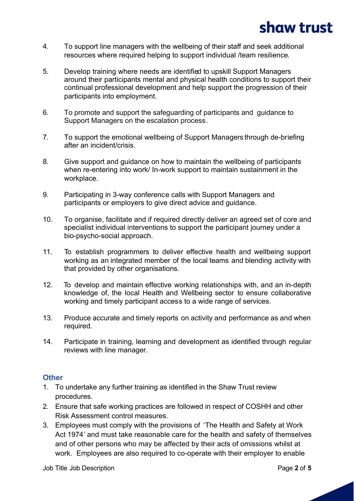- 4. To support line managers with the wellbeing of their staff and seek additional resources where required helping to support individual /team resilience.
- 5. Develop training where needs are identified to upskill Support Managers around their participants mental and physical health conditions to support their continual professional development and help support the progression of their participants into employment.
- 6. To promote and support the safeguarding of participants and guidance to Support Managers on the escalation process.
- 7. To support the emotional wellbeing of Support Managers through de-briefing after an incident/crisis.
- 8. Give support and guidance on how to maintain the wellbeing of participants when re-entering into work/ In-work support to maintain sustainment in the workplace.
- 9. Participating in 3-way conference calls with Support Managers and participants or employers to give direct advice and guidance.
- 10. To organise, facilitate and if required directly deliver an agreed set of core and specialist individual interventions to support the participant journey under a bio-psycho-social approach.
- 11. To establish programmers to deliver effective health and wellbeing support working as an integrated member of the local teams and blending activity with that provided by other organisations.
- 12. To develop and maintain effective working relationships with, and an in-depth knowledge of, the local Health and Wellbeing sector to ensure collaborative working and timely participant access to a wide range of services.
- 13. Produce accurate and timely reports on activity and performance as and when required.
- 14. Participate in training, learning and development as identified through regular reviews with line manager.

#### **Other**

- 1. To undertake any further training as identified in the Shaw Trust review procedures.
- 2. Ensure that safe working practices are followed in respect of COSHH and other Risk Assessment control measures.
- 3. Employees must comply with the provisions of 'The Health and Safety at Work Act 1974' and must take reasonable care for the health and safety of themselves and of other persons who may be affected by their acts of omissions whilst at work. Employees are also required to co-operate with their employer to enable

Job Title Job Description Page **2** of **5**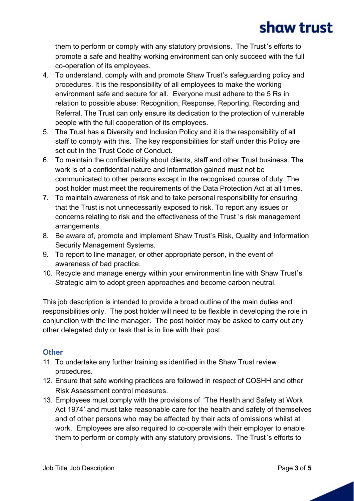them to perform or comply with any statutory provisions. The Trust's efforts to promote a safe and healthy working environment can only succeed with the full co-operation of its employees.

- 4. To understand, comply with and promote Shaw Trust's safeguarding policy and procedures. It is the responsibility of all employees to make the working environment safe and secure for all. Everyone must adhere to the 5 Rs in relation to possible abuse: Recognition, Response, Reporting, Recording and Referral. The Trust can only ensure its dedication to the protection of vulnerable people with the full cooperation of its employees.
- 5. The Trust has a Diversity and Inclusion Policy and it is the responsibility of all staff to comply with this. The key responsibilities for staff under this Policy are set out in the Trust Code of Conduct.
- 6. To maintain the confidentiality about clients, staff and other Trust business. The work is of a confidential nature and information gained must not be communicated to other persons except in the recognised course of duty. The post holder must meet the requirements of the Data Protection Act at all times.
- 7. To maintain awareness of risk and to take personal responsibility for ensuring that the Trust is not unnecessarily exposed to risk. To report any issues or concerns relating to risk and the effectiveness of the Trust 's risk management arrangements.
- 8. Be aware of, promote and implement Shaw Trust's Risk, Quality and Information Security Management Systems.
- 9. To report to line manager, or other appropriate person, in the event of awareness of bad practice.
- 10. Recycle and manage energy within your environmentin line with Shaw Trust's Strategic aim to adopt green approaches and become carbon neutral.

This job description is intended to provide a broad outline of the main duties and responsibilities only. The post holder will need to be flexible in developing the role in conjunction with the line manager. The post holder may be asked to carry out any other delegated duty or task that is in line with their post.

### **Other**

- 11. To undertake any further training as identified in the Shaw Trust review procedures.
- 12. Ensure that safe working practices are followed in respect of COSHH and other Risk Assessment control measures.
- 13. Employees must comply with the provisions of 'The Health and Safety at Work Act 1974' and must take reasonable care for the health and safety of themselves and of other persons who may be affected by their acts of omissions whilst at work. Employees are also required to co-operate with their employer to enable them to perform or comply with any statutory provisions. The Trust's efforts to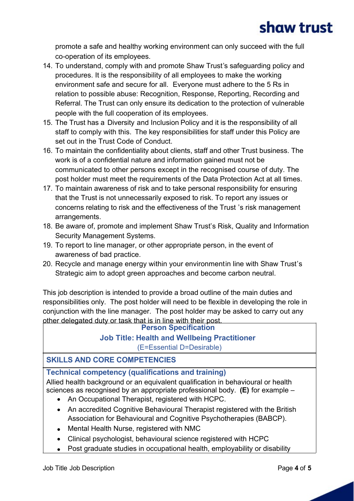promote a safe and healthy working environment can only succeed with the full co-operation of its employees.

- 14. To understand, comply with and promote Shaw Trust's safeguarding policy and procedures. It is the responsibility of all employees to make the working environment safe and secure for all. Everyone must adhere to the 5 Rs in relation to possible abuse: Recognition, Response, Reporting, Recording and Referral. The Trust can only ensure its dedication to the protection of vulnerable people with the full cooperation of its employees.
- 15. The Trust has a Diversity and Inclusion Policy and it is the responsibility of all staff to comply with this. The key responsibilities for staff under this Policy are set out in the Trust Code of Conduct.
- 16. To maintain the confidentiality about clients, staff and other Trust business. The work is of a confidential nature and information gained must not be communicated to other persons except in the recognised course of duty. The post holder must meet the requirements of the Data Protection Act at all times.
- 17. To maintain awareness of risk and to take personal responsibility for ensuring that the Trust is not unnecessarily exposed to risk. To report any issues or concerns relating to risk and the effectiveness of the Trust 's risk management arrangements.
- 18. Be aware of, promote and implement Shaw Trust's Risk, Quality and Information Security Management Systems.
- 19. To report to line manager, or other appropriate person, in the event of awareness of bad practice.
- 20. Recycle and manage energy within your environmentin line with Shaw Trust's Strategic aim to adopt green approaches and become carbon neutral.

This job description is intended to provide a broad outline of the main duties and responsibilities only. The post holder will need to be flexible in developing the role in conjunction with the line manager. The post holder may be asked to carry out any other delegated duty or task that is in line with their post.

#### **Person Specification**

### **Job Title: Health and Wellbeing Practitioner**

(E=Essential D=Desirable)

#### **SKILLS AND CORE COMPETENCIES**

**Technical competency (qualifications and training)**

Allied health background or an equivalent qualification in behavioural or health sciences as recognised by an appropriate professional body. **(E)** for example –

- · An Occupational Therapist, registered with HCPC.
- An accredited Cognitive Behavioural Therapist registered with the British Association for Behavioural and Cognitive Psychotherapies (BABCP).
- · Mental Health Nurse, registered with NMC
- · Clinical psychologist, behavioural science registered with HCPC
- Post graduate studies in occupational health, employability or disability